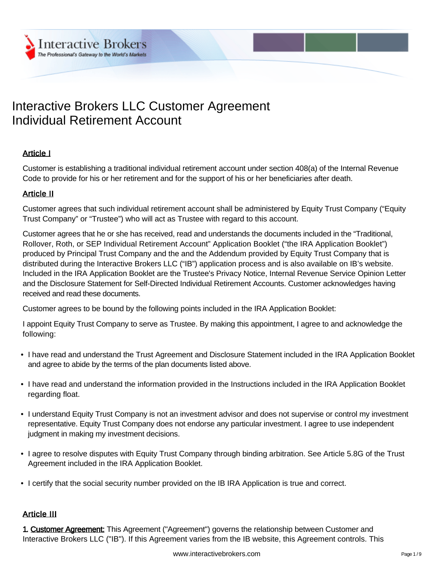# Interactive Brokers LLC Customer Agreement Individual Retirement Account

# Article I

Customer is establishing a traditional individual retirement account under section 408(a) of the Internal Revenue Code to provide for his or her retirement and for the support of his or her beneficiaries after death.

### Article II

Customer agrees that such individual retirement account shall be administered by Equity Trust Company ("Equity Trust Company" or "Trustee") who will act as Trustee with regard to this account.

Customer agrees that he or she has received, read and understands the documents included in the "Traditional, Rollover, Roth, or SEP Individual Retirement Account" Application Booklet ("the IRA Application Booklet") produced by Principal Trust Company and the and the Addendum provided by Equity Trust Company that is distributed during the Interactive Brokers LLC ("IB") application process and is also available on IB's website. Included in the IRA Application Booklet are the Trustee's Privacy Notice, Internal Revenue Service Opinion Letter and the Disclosure Statement for Self-Directed Individual Retirement Accounts. Customer acknowledges having received and read these documents.

Customer agrees to be bound by the following points included in the IRA Application Booklet:

I appoint Equity Trust Company to serve as Trustee. By making this appointment, I agree to and acknowledge the following:

- I have read and understand the Trust Agreement and Disclosure Statement included in the IRA Application Booklet and agree to abide by the terms of the plan documents listed above.
- I have read and understand the information provided in the Instructions included in the IRA Application Booklet regarding float.
- I understand Equity Trust Company is not an investment advisor and does not supervise or control my investment representative. Equity Trust Company does not endorse any particular investment. I agree to use independent judgment in making my investment decisions.
- I agree to resolve disputes with Equity Trust Company through binding arbitration. See Article 5.8G of the Trust Agreement included in the IRA Application Booklet.
- I certify that the social security number provided on the IB IRA Application is true and correct.

### Article III

1. Customer Agreement: This Agreement ("Agreement") governs the relationship between Customer and Interactive Brokers LLC ("IB"). If this Agreement varies from the IB website, this Agreement controls. This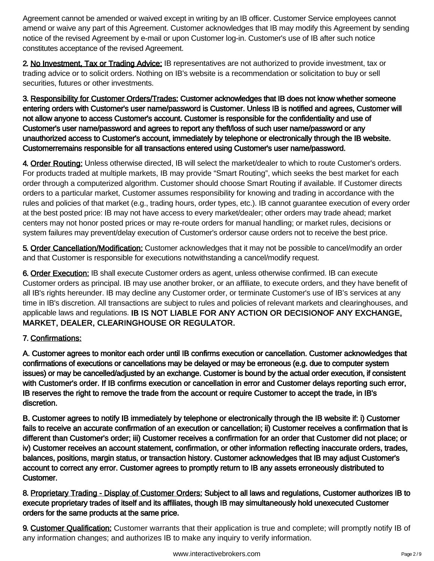Agreement cannot be amended or waived except in writing by an IB officer. Customer Service employees cannot amend or waive any part of this Agreement. Customer acknowledges that IB may modify this Agreement by sending notice of the revised Agreement by e-mail or upon Customer log-in. Customer's use of IB after such notice constitutes acceptance of the revised Agreement.

2. No Investment, Tax or Trading Advice: IB representatives are not authorized to provide investment, tax or trading advice or to solicit orders. Nothing on IB's website is a recommendation or solicitation to buy or sell securities, futures or other investments.

3. Responsibility for Customer Orders/Trades: Customer acknowledges that IB does not know whether someone<br>entering orders with Customer's user name/password is Customer. Unless IB is notified and agrees, Customer will<br>not

4. Order Routing: Unless otherwise directed, IB will select the market/dealer to which to route Customer's orders. For products traded at multiple markets, IB may provide "Smart Routing", which seeks the best market for each order through a computerized algorithm. Customer should choose Smart Routing if available. If Customer directs orders to a particular market, Customer assumes responsibility for knowing and trading in accordance with the rules and policies of that market (e.g., trading hours, order types, etc.). IB cannot guarantee execution of every order at the best posted price: IB may not have access to every market/dealer; other orders may trade ahead; market centers may not honor posted prices or may re-route orders for manual handling; or market rules, decisions or system failures may prevent/delay execution of Customer's ordersor cause orders not to receive the best price.

5. Order Cancellation/Modification: Customer acknowledges that it may not be possible to cancel/modify an order and that Customer is responsible for executions notwithstanding a cancel/modify request.

6. Order Execution: IB shall execute Customer orders as agent, unless otherwise confirmed. IB can execute Customer orders as principal. IB may use another broker, or an affiliate, to execute orders, and they have benefit of all IB's rights hereunder. IB may decline any Customer order, or terminate Customer's use of IB's services at any time in IB's discretion. All transactions are subject to rules and policies of relevant markets and clearinghouses, and applicable laws and regulations. IB IS NOT LIABLE FOR ANY ACTION OR DECISIONOF ANY EXCHANGE,<br>MARKET, DEALER, CLEARINGHOUSE OR REGULATOR.

# 7. Confirmations:

A. Customer agrees to monitor each order until IB confirms execution or cancellation. Customer acknowledges that confirmations of executions or cancellations may be delayed or may be erroneous (e.g. due to computer system issues) or may be cancelled/adjusted by an exchange. Customer is bound by the actual order execution, if consistent<br>with Customer's order. If IB confirms execution or cancellation in error and Customer delays reporting suc IB reserves the right to remove the trade from the account or require Customer to accept the trade, in IB's discretion.

B. Customer agrees to notify IB immediately by telephone or electronically through the IB website if: i) Customer fails to receive an accurate confirmation of an execution or cancellation; ii) Customer receives a confirmation that is<br>different than Customer's order; iii) Customer receives a confirmation for an order that Customer did iv) Customer receives an account statement, confirmation, or other information reflecting inaccurate orders, trades,<br>balances, positions, margin status, or transaction history. Customer acknowledges that IB may adjust Cust

8. Proprietary Trading - Display of Customer Orders: Subject to all laws and regulations, Customer authorizes IB to execute proprietary trades of itself and its affiliates, though IB may simultaneously hold unexecuted Cust

9. Customer Qualification: Customer warrants that their application is true and complete; will promptly notify IB of any information changes; and authorizes IB to make any inquiry to verify information.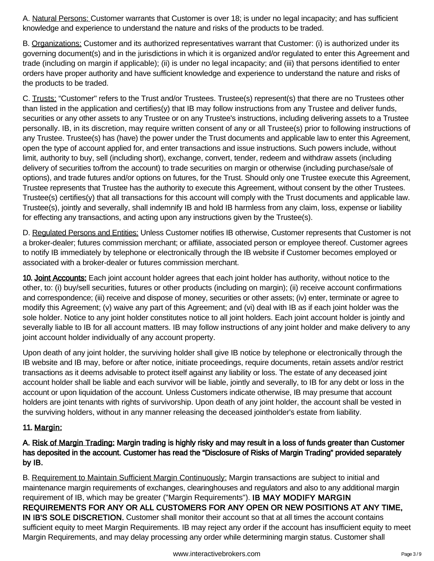A. Natural Persons: Customer warrants that Customer is over 18; is under no legal incapacity; and has sufficient knowledge and experience to understand the nature and risks of the products to be traded.

B. Organizations: Customer and its authorized representatives warrant that Customer: (i) is authorized under its governing document(s) and in the jurisdictions in which it is organized and/or regulated to enter this Agreement and trade (including on margin if applicable); (ii) is under no legal incapacity; and (iii) that persons identified to enter orders have proper authority and have sufficient knowledge and experience to understand the nature and risks of the products to be traded.

C. Trusts: "Customer" refers to the Trust and/or Trustees. Trustee(s) represent(s) that there are no Trustees other than listed in the application and certifies(y) that IB may follow instructions from any Trustee and deliver funds, securities or any other assets to any Trustee or on any Trustee's instructions, including delivering assets to a Trustee personally. IB, in its discretion, may require written consent of any or all Trustee(s) prior to following instructions of any Trustee. Trustee(s) has (have) the power under the Trust documents and applicable law to enter this Agreement, open the type of account applied for, and enter transactions and issue instructions. Such powers include, without limit, authority to buy, sell (including short), exchange, convert, tender, redeem and withdraw assets (including delivery of securities to/from the account) to trade securities on margin or otherwise (including purchase/sale of options), and trade futures and/or options on futures, for the Trust. Should only one Trustee execute this Agreement, Trustee represents that Trustee has the authority to execute this Agreement, without consent by the other Trustees. Trustee(s) certifies(y) that all transactions for this account will comply with the Trust documents and applicable law. Trustee(s), jointly and severally, shall indemnify IB and hold IB harmless from any claim, loss, expense or liability for effecting any transactions, and acting upon any instructions given by the Trustee(s).

D. Regulated Persons and Entities: Unless Customer notifies IB otherwise, Customer represents that Customer is not a broker-dealer; futures commission merchant; or affiliate, associated person or employee thereof. Customer agrees to notify IB immediately by telephone or electronically through the IB website if Customer becomes employed or associated with a broker-dealer or futures commission merchant.

10. Joint Accounts: Each joint account holder agrees that each joint holder has authority, without notice to the other, to: (i) buy/sell securities, futures or other products (including on margin); (ii) receive account confirmations and correspondence; (iii) receive and dispose of money, securities or other assets; (iv) enter, terminate or agree to modify this Agreement; (v) waive any part of this Agreement; and (vi) deal with IB as if each joint holder was the sole holder. Notice to any joint holder constitutes notice to all joint holders. Each joint account holder is jointly and severally liable to IB for all account matters. IB may follow instructions of any joint holder and make delivery to any joint account holder individually of any account property.

Upon death of any joint holder, the surviving holder shall give IB notice by telephone or electronically through the IB website and IB may, before or after notice, initiate proceedings, require documents, retain assets and/or restrict transactions as it deems advisable to protect itself against any liability or loss. The estate of any deceased joint account holder shall be liable and each survivor will be liable, jointly and severally, to IB for any debt or loss in the account or upon liquidation of the account. Unless Customers indicate otherwise, IB may presume that account holders are joint tenants with rights of survivorship. Upon death of any joint holder, the account shall be vested in the surviving holders, without in any manner releasing the deceased jointholder's estate from liability.

# 11. Margin:

# A. <u>Risk of Margin Trading:</u> Margin trading is highly risky and may result in a loss of funds greater than Customer<br>has deposited in the account. Customer has read the "Disclosure of Risks of Margin Trading" provided separ

B. Requirement to Maintain Sufficient Margin Continuously: Margin transactions are subject to initial and maintenance margin requirements of exchanges, clearinghouses and regulators and also to any additional margin requirement of IB, which may be greater ("Margin Requirements"). **IB MAY MODIFY MARGIN**<br>REQUIREMENTS FOR ANY OR ALL CUSTOMERS FOR ANY OPEN OR NEW POSITIONS AT ANY TIME, IN IB'S SOLE DISCRETION. Customer shall monitor their account so that at all times the account contains sufficient equity to meet Margin Requirements. IB may reject any order if the account has insufficient equity to meet Margin Requirements, and may delay processing any order while determining margin status. Customer shall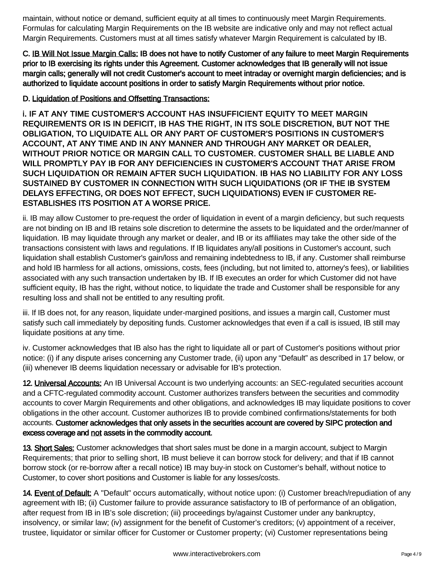maintain, without notice or demand, sufficient equity at all times to continuously meet Margin Requirements. Formulas for calculating Margin Requirements on the IB website are indicative only and may not reflect actual Margin Requirements. Customers must at all times satisfy whatever Margin Requirement is calculated by IB.

C. <u>IB Will Not Issue Margin Calls:</u> IB does not have to notify Customer of any failure to meet Margin Requirements<br>prior to IB exercising its rights under this Agreement. Customer acknowledges that IB generally will not i

## D. Liquidation of Positions and Offsetting Transactions:

i. IF AT ANY TIME CUSTOMER'S ACCOUNT HAS INSUFFICIENT EQUITY TO MEET MARGIN<br>REQUIREMENTS OR IS IN DEFICIT, IB HAS THE RIGHT, IN ITS SOLE DISCRETION, BUT NOT THE<br>OBLIGATION, TO LIQUIDATE ALL OR ANY PART OF CUSTOMER'S POSITI ESTABLISHES ITS POSITION AT A WORSE PRICE.

ii. IB may allow Customer to pre-request the order of liquidation in event of a margin deficiency, but such requests are not binding on IB and IB retains sole discretion to determine the assets to be liquidated and the order/manner of liquidation. IB may liquidate through any market or dealer, and IB or its affiliates may take the other side of the transactions consistent with laws and regulations. If IB liquidates any/all positions in Customer's account, such liquidation shall establish Customer's gain/loss and remaining indebtedness to IB, if any. Customer shall reimburse and hold IB harmless for all actions, omissions, costs, fees (including, but not limited to, attorney's fees), or liabilities associated with any such transaction undertaken by IB. If IB executes an order for which Customer did not have sufficient equity, IB has the right, without notice, to liquidate the trade and Customer shall be responsible for any resulting loss and shall not be entitled to any resulting profit.

iii. If IB does not, for any reason, liquidate under-margined positions, and issues a margin call, Customer must satisfy such call immediately by depositing funds. Customer acknowledges that even if a call is issued, IB still may liquidate positions at any time.

iv. Customer acknowledges that IB also has the right to liquidate all or part of Customer's positions without prior notice: (i) if any dispute arises concerning any Customer trade, (ii) upon any "Default" as described in 17 below, or (iii) whenever IB deems liquidation necessary or advisable for IB's protection.

12. Universal Accounts: An IB Universal Account is two underlying accounts: an SEC-regulated securities account and a CFTC-regulated commodity account. Customer authorizes transfers between the securities and commodity accounts to cover Margin Requirements and other obligations, and acknowledges IB may liquidate positions to cover obligations in the other account. Customer authorizes IB to provide combined confirmations/statements for both accounts. Customer acknowledges that only assets in the securities account are covered by SIPC protection and<br>excess coverage and not assets in the commodity account.

13. Short Sales: Customer acknowledges that short sales must be done in a margin account, subject to Margin Requirements; that prior to selling short, IB must believe it can borrow stock for delivery; and that if IB cannot borrow stock (or re-borrow after a recall notice) IB may buy-in stock on Customer's behalf, without notice to Customer, to cover short positions and Customer is liable for any losses/costs.

14. Event of Default: A "Default" occurs automatically, without notice upon: (i) Customer breach/repudiation of any agreement with IB; (ii) Customer failure to provide assurance satisfactory to IB of performance of an obligation, after request from IB in IB's sole discretion; (iii) proceedings by/against Customer under any bankruptcy, insolvency, or similar law; (iv) assignment for the benefit of Customer's creditors; (v) appointment of a receiver, trustee, liquidator or similar officer for Customer or Customer property; (vi) Customer representations being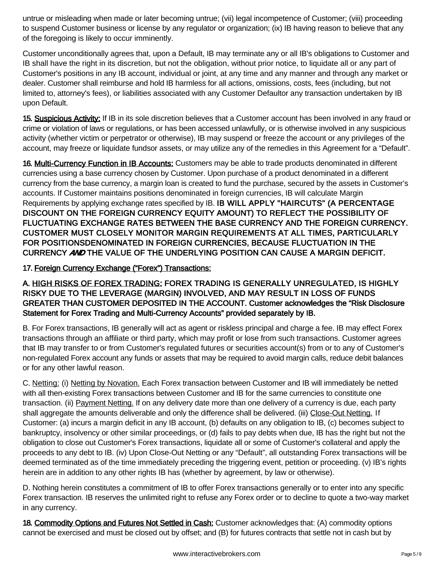untrue or misleading when made or later becoming untrue; (vii) legal incompetence of Customer; (viii) proceeding to suspend Customer business or license by any regulator or organization; (ix) IB having reason to believe that any of the foregoing is likely to occur imminently.

Customer unconditionally agrees that, upon a Default, IB may terminate any or all IB's obligations to Customer and IB shall have the right in its discretion, but not the obligation, without prior notice, to liquidate all or any part of Customer's positions in any IB account, individual or joint, at any time and any manner and through any market or dealer. Customer shall reimburse and hold IB harmless for all actions, omissions, costs, fees (including, but not limited to, attorney's fees), or liabilities associated with any Customer Defaultor any transaction undertaken by IB upon Default.

15. Suspicious Activity: If IB in its sole discretion believes that a Customer account has been involved in any fraud or crime or violation of laws or regulations, or has been accessed unlawfully, or is otherwise involved in any suspicious activity (whether victim or perpetrator or otherwise), IB may suspend or freeze the account or any privileges of the account, may freeze or liquidate fundsor assets, or may utilize any of the remedies in this Agreement for a "Default".

16. Multi-Currency Function in IB Accounts: Customers may be able to trade products denominated in different currencies using a base currency chosen by Customer. Upon purchase of a product denominated in a different currency from the base currency, a margin loan is created to fund the purchase, secured by the assets in Customer's accounts. If Customer maintains positions denominated in foreign currencies, IB will calculate Margin Requirements by applying exchange rates specified by IB. IB WILL APPLY "HAIRCUTS" (A PERCENTAGE<br>DISCOUNT ON THE FOREIGN CURRENCY EQUITY AMOUNT) TO REFLECT THE POSSIBILITY OF<br>FLUCTUATING EXCHANGE RATES BETWEEN THE BASE CURR

17. Foreign Currency Exchange ("Forex") Transactions:

A. HIGH RISKS OF FOREX TRADING: FOREX TRADING IS GENERALLY UNREGULATED, IS HIGHLY<br>RISKY DUE TO THE LEVERAGE (MARGIN) INVOLVED, AND MAY RESULT IN LOSS OF FUNDS<br>GREATER THAN CUSTOMER DEPOSITED IN THE ACCOUNT. Customer acknow

B. For Forex transactions, IB generally will act as agent or riskless principal and charge a fee. IB may effect Forex transactions through an affiliate or third party, which may profit or lose from such transactions. Customer agrees that IB may transfer to or from Customer's regulated futures or securities account(s) from or to any of Customer's non-regulated Forex account any funds or assets that may be required to avoid margin calls, reduce debit balances or for any other lawful reason.

C. Netting: (i) Netting by Novation. Each Forex transaction between Customer and IB will immediately be netted with all then-existing Forex transactions between Customer and IB for the same currencies to constitute one transaction. (ii) Payment Netting. If on any delivery date more than one delivery of a currency is due, each party shall aggregate the amounts deliverable and only the difference shall be delivered. (iii) Close-Out Netting. If Customer: (a) incurs a margin deficit in any IB account, (b) defaults on any obligation to IB, (c) becomes subject to bankruptcy, insolvency or other similar proceedings, or (d) fails to pay debts when due, IB has the right but not the obligation to close out Customer's Forex transactions, liquidate all or some of Customer's collateral and apply the proceeds to any debt to IB. (iv) Upon Close-Out Netting or any "Default", all outstanding Forex transactions will be deemed terminated as of the time immediately preceding the triggering event, petition or proceeding. (v) IB's rights herein are in addition to any other rights IB has (whether by agreement, by law or otherwise).

D. Nothing herein constitutes a commitment of IB to offer Forex transactions generally or to enter into any specific Forex transaction. IB reserves the unlimited right to refuse any Forex order or to decline to quote a two-way market in any currency.

18. Commodity Options and Futures Not Settled in Cash: Customer acknowledges that: (A) commodity options cannot be exercised and must be closed out by offset; and (B) for futures contracts that settle not in cash but by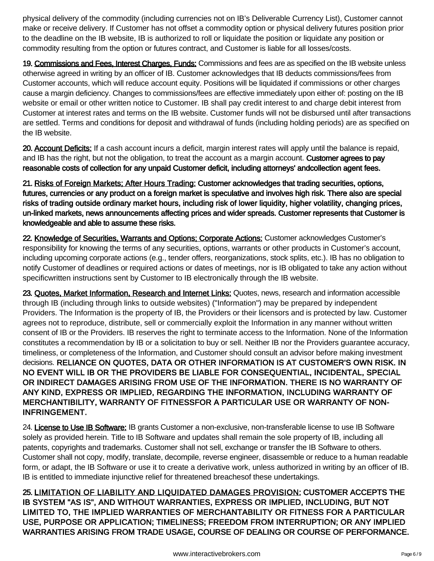physical delivery of the commodity (including currencies not on IB's Deliverable Currency List), Customer cannot make or receive delivery. If Customer has not offset a commodity option or physical delivery futures position prior to the deadline on the IB website, IB is authorized to roll or liquidate the position or liquidate any position or commodity resulting from the option or futures contract, and Customer is liable for all losses/costs.

19. Commissions and Fees, Interest Charges, Funds: Commissions and fees are as specified on the IB website unless otherwise agreed in writing by an officer of IB. Customer acknowledges that IB deducts commissions/fees from Customer accounts, which will reduce account equity. Positions will be liquidated if commissions or other charges cause a margin deficiency. Changes to commissions/fees are effective immediately upon either of: posting on the IB website or email or other written notice to Customer. IB shall pay credit interest to and charge debit interest from Customer at interest rates and terms on the IB website. Customer funds will not be disbursed until after transactions are settled. Terms and conditions for deposit and withdrawal of funds (including holding periods) are as specified on the IB website.

20. Account Deficits: If a cash account incurs a deficit, margin interest rates will apply until the balance is repaid, and IB has the right, but not the obligation, to treat the account as a margin account. Customer agrees to pay<br>reasonable costs of collection for any unpaid Customer deficit, including attorneys' andcollection agent fees.

21. Risks of Foreign Markets; After Hours Trading: Customer acknowledges that trading securities, options, futures, currencies or any product on a foreign market is speculative and involves high risk. There also are special<br>risks of trading outside ordinary market hours, including risk of lower liquidity, higher volatility, cha

22. Knowledge of Securities, Warrants and Options; Corporate Actions: Customer acknowledges Customer's responsibility for knowing the terms of any securities, options, warrants or other products in Customer's account, including upcoming corporate actions (e.g., tender offers, reorganizations, stock splits, etc.). IB has no obligation to notify Customer of deadlines or required actions or dates of meetings, nor is IB obligated to take any action without specificwritten instructions sent by Customer to IB electronically through the IB website.

23. Quotes, Market Information, Research and Internet Links: Quotes, news, research and information accessible through IB (including through links to outside websites) ("Information") may be prepared by independent Providers. The Information is the property of IB, the Providers or their licensors and is protected by law. Customer agrees not to reproduce, distribute, sell or commercially exploit the Information in any manner without written consent of IB or the Providers. IB reserves the right to terminate access to the Information. None of the Information constitutes a recommendation by IB or a solicitation to buy or sell. Neither IB nor the Providers guarantee accuracy, timeliness, or completeness of the Information, and Customer should consult an advisor before making investment decisions. RELIANCE ON QUOTES, DATA OR OTHER INFORMATION IS AT CUSTOMER'S OWN RISK. IN<br>NO EVENT WILL IB OR THE PROVIDERS BE LIABLE FOR CONSEQUENTIAL, INCIDENTAL, SPECIAL<br>OR INDIRECT DAMAGES ARISING FROM USE OF THE INFORMAT INFRINGEMENT.

24. License to Use IB Software: IB grants Customer a non-exclusive, non-transferable license to use IB Software solely as provided herein. Title to IB Software and updates shall remain the sole property of IB, including all patents, copyrights and trademarks. Customer shall not sell, exchange or transfer the IB Software to others. Customer shall not copy, modify, translate, decompile, reverse engineer, disassemble or reduce to a human readable form, or adapt, the IB Software or use it to create a derivative work, unless authorized in writing by an officer of IB. IB is entitled to immediate injunctive relief for threatened breachesof these undertakings.

25. LIMITATION OF LIABILITY AND LIQUIDATED DAMAGES PROVISION: CUSTOMER ACCEPTS THE IB SYSTEM "AS IS", AND WITHOUT WARRANTIES, EXPRESS OR IMPLIED, INCLUDING, BUT NOT<br>LIMITED TO, THE IMPLIED WARRANTIES OF MERCHANTABILITY OR FITNESS FOR A PARTICULAR<br>USE, PURPOSE OR APPLICATION; TIMELINESS; FREEDOM FROM INTE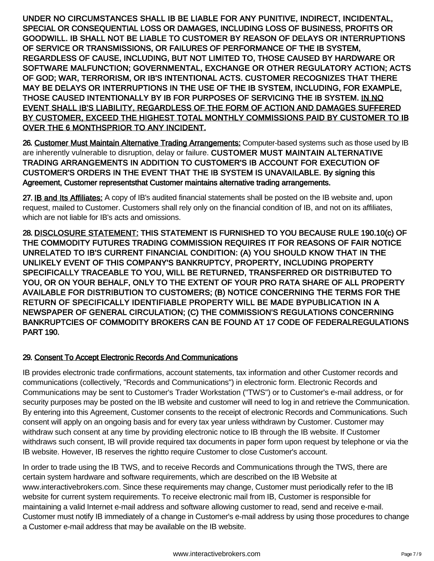UNDER NO CIRCUMSTANCES SHALL IB BE LIABLE FOR ANY PUNITIVE, INDIRECT, INCIDENTAL,<br>SPECIAL OR CONSEQUENTIAL LOSS OR DAMAGES, INCLUDING LOSS OF BUSINESS, PROFITS OR<br>GODDWILL. IB SHALL NOT BE LIABLE TO CUSTOMER BY REASON OF D

26. Customer Must Maintain Alternative Trading Arrangements: Computer-based systems such as those used by IB are inherently vulnerable to disruption, delay or failure. CUSTOMER MUST MAINTAIN ALTERNATIVE<br>TRADING ARRANGEMENTS IN ADDITION TO CUSTOMER'S IB ACCOUNT FOR EXECUTION OF<br>CUSTOMER'S ORDERS IN THE EVENT THAT THE IB SYSTEM IS

27. IB and Its Affiliates: A copy of IB's audited financial statements shall be posted on the IB website and, upon request, mailed to Customer. Customers shall rely only on the financial condition of IB, and not on its affiliates, which are not liable for IB's acts and omissions.

28. DISCLOSURE STATEMENT: THIS STATEMENT IS FURNISHED TO YOU BECAUSE RULE 190.10(c) OF<br>THE COMMODITY FUTURES TRADING COMMISSION REQUIRES IT FOR REASONS OF FAIR NOTICE<br>UNRELATED TO IB'S CURRENT FINANCIAL CONDITION: (A) YOU

### 29. Consent To Accept Electronic Records And Communications

IB provides electronic trade confirmations, account statements, tax information and other Customer records and communications (collectively, "Records and Communications") in electronic form. Electronic Records and Communications may be sent to Customer's Trader Workstation ("TWS") or to Customer's e-mail address, or for security purposes may be posted on the IB website and customer will need to log in and retrieve the Communication. By entering into this Agreement, Customer consents to the receipt of electronic Records and Communications. Such consent will apply on an ongoing basis and for every tax year unless withdrawn by Customer. Customer may withdraw such consent at any time by providing electronic notice to IB through the IB website. If Customer withdraws such consent, IB will provide required tax documents in paper form upon request by telephone or via the IB website. However, IB reserves the rightto require Customer to close Customer's account.

In order to trade using the IB TWS, and to receive Records and Communications through the TWS, there are certain system hardware and software requirements, which are described on the IB Website at [www.interactivebrokers.com.](http://www.interactivebrokers.com) Since these requirements may change, Customer must periodically refer to the IB website for current system requirements. To receive electronic mail from IB, Customer is responsible for maintaining a valid Internet e-mail address and software allowing customer to read, send and receive e-mail. Customer must notify IB immediately of a change in Customer's e-mail address by using those procedures to change a Customer e-mail address that may be available on the IB website.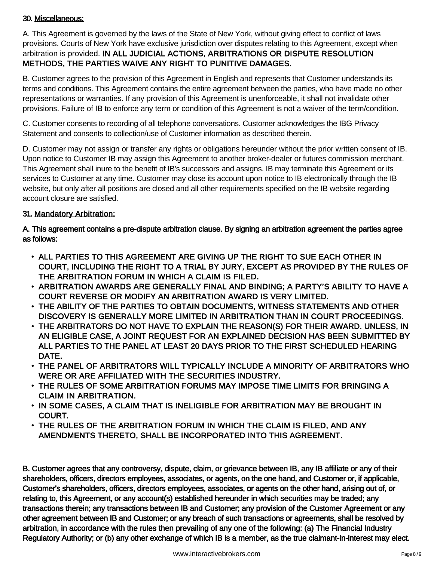### 30. Miscellaneous:

A. This Agreement is governed by the laws of the State of New York, without giving effect to conflict of laws provisions. Courts of New York have exclusive jurisdiction over disputes relating to this Agreement, except when arbitration is provided. **IN ALL JUDICIAL ACTIONS, ARBITRATIONS OR DISPUTE RESOLUTION**<br>METHODS, THE PARTIES WAIVE ANY RIGHT TO PUNITIVE DAMAGES.

B. Customer agrees to the provision of this Agreement in English and represents that Customer understands its terms and conditions. This Agreement contains the entire agreement between the parties, who have made no other representations or warranties. If any provision of this Agreement is unenforceable, it shall not invalidate other provisions. Failure of IB to enforce any term or condition of this Agreement is not a waiver of the term/condition.

C. Customer consents to recording of all telephone conversations. Customer acknowledges the IBG Privacy Statement and consents to collection/use of Customer information as described therein.

D. Customer may not assign or transfer any rights or obligations hereunder without the prior written consent of IB. Upon notice to Customer IB may assign this Agreement to another broker-dealer or futures commission merchant. This Agreement shall inure to the benefit of IB's successors and assigns. IB may terminate this Agreement or its services to Customer at any time. Customer may close its account upon notice to IB electronically through the IB website, but only after all positions are closed and all other requirements specified on the IB website regarding account closure are satisfied.

### 31. Mandatory Arbitration:

A. This agreement contains a pre-dispute arbitration clause. By signing an arbitration agreement the parties agree<br>as follows:

- ALL PARTIES TO THIS AGREEMENT ARE GIVING UP THE RIGHT TO SUE EACH OTHER IN COURT, INCLUDING THE RIGHT TO A TRIAL BY JURY, EXCEPT AS PROVIDED BY THE RULES OF THE ARBITRATION FORUM IN WHICH A CLAIM IS FILED.
- ARBITRATION AWARDS ARE GENERALLY FINAL AND BINDING; A PARTY'S ABILITY TO HAVE A COURT REVERSE OR MODIFY AN ARBITRATION AWARD IS VERY LIMITED.
- THE ABILITY OF THE PARTIES TO OBTAIN DOCUMENTS, WITNESS STATEMENTS AND OTHER DISCOVERY IS GENERALLY MORE LIMITED IN ARBITRATION THAN IN COURT PROCEEDINGS.
- THE ARBITRATORS DO NOT HAVE TO EXPLAIN THE REASON(S) FOR THEIR AWARD. UNLESS, IN<br>AN ELIGIBLE CASE, A JOINT REQUEST FOR AN EXPLAINED DECISION HAS BEEN SUBMITTED BY<br>ALL PARTIES TO THE PANEL AT LEAST 20 DAYS PRIOR TO THE FIRS
- THE PANEL OF ARBITRATORS WILL TYPICALLY INCLUDE A MINORITY OF ARBITRATORS WHO WERE OR ARE AFFILIATED WITH THE SECURITIES INDUSTRY.
- THE RULES OF SOME ARBITRATION FORUMS MAY IMPOSE TIME LIMITS FOR BRINGING A CLAIM IN ARBITRATION.
- IN SOME CASES, A CLAIM THAT IS INELIGIBLE FOR ARBITRATION MAY BE BROUGHT IN COURT.
- THE RULES OF THE ARBITRATION FORUM IN WHICH THE CLAIM IS FILED, AND ANY AMENDMENTS THERETO, SHALL BE INCORPORATED INTO THIS AGREEMENT.

B. Customer agrees that any controversy, dispute, claim, or grievance between IB, any IB affiliate or any of their<br>shareholders, officers, directors employees, associates, or agents, on the one hand, and Customer or, if ap transactions therein; any transactions between IB and Customer; any provision of the Customer Agreement or any<br>other agreement between IB and Customer; or any breach of such transactions or agreements, shall be resolved by